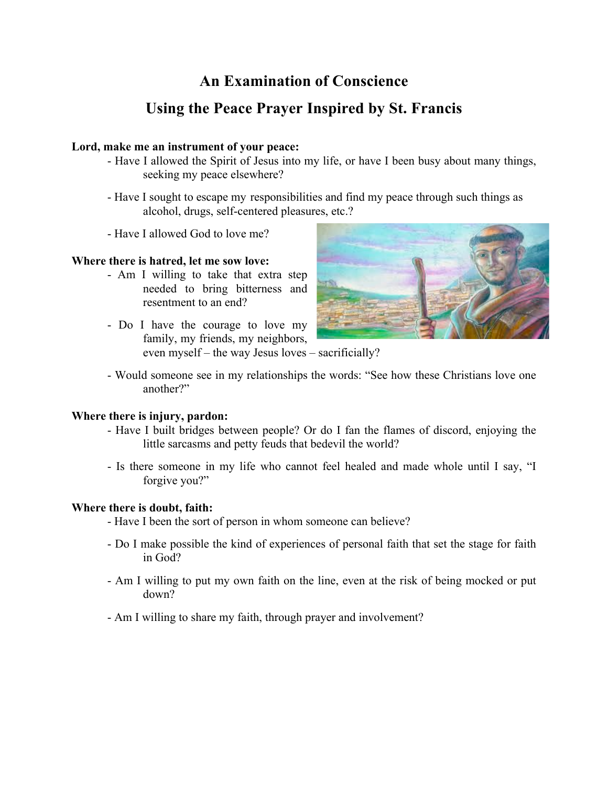# **An Examination of Conscience**

# **Using the Peace Prayer Inspired by St. Francis**

## **Lord, make me an instrument of your peace:**

- Have I allowed the Spirit of Jesus into my life, or have I been busy about many things, seeking my peace elsewhere?
- Have I sought to escape my responsibilities and find my peace through such things as alcohol, drugs, self-centered pleasures, etc.?
- Have I allowed God to love me?

# **Where there is hatred, let me sow love:**

- Am I willing to take that extra step needed to bring bitterness and resentment to an end?
- Do I have the courage to love my family, my friends, my neighbors, even myself – the way Jesus loves – sacrificially?



- Would someone see in my relationships the words: "See how these Christians love one another?"

### **Where there is injury, pardon:**

- Have I built bridges between people? Or do I fan the flames of discord, enjoying the little sarcasms and petty feuds that bedevil the world?
- Is there someone in my life who cannot feel healed and made whole until I say, "I forgive you?"

### **Where there is doubt, faith:**

- Have I been the sort of person in whom someone can believe?
- Do I make possible the kind of experiences of personal faith that set the stage for faith in God?
- Am I willing to put my own faith on the line, even at the risk of being mocked or put down?
- Am I willing to share my faith, through prayer and involvement?